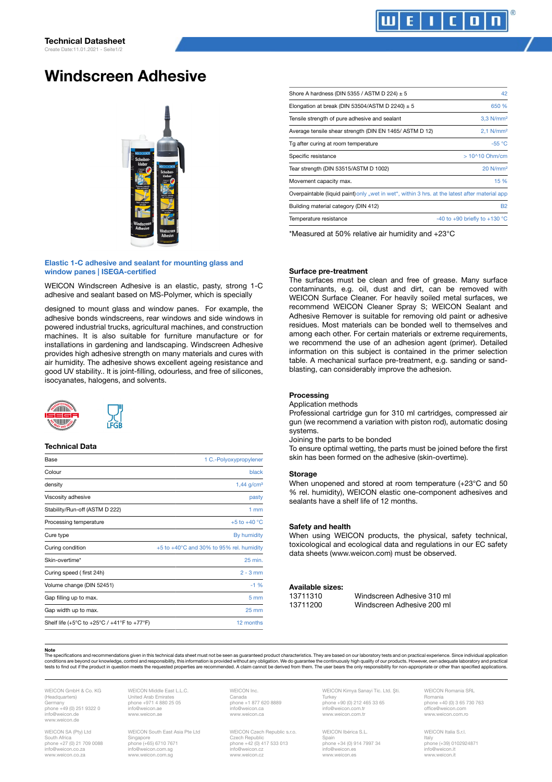# Windscreen Adhesive



#### Elastic 1-C adhesive and sealant for mounting glass and window panes | ISEGA-certified

WEICON Windscreen Adhesive is an elastic, pasty, strong 1-C adhesive and sealant based on MS-Polymer, which is specially

designed to mount glass and window panes. For example, the adhesive bonds windscreens, rear windows and side windows in powered industrial trucks, agricultural machines, and construction machines. It is also suitable for furniture manufacture or for installations in gardening and landscaping. Windscreen Adhesive provides high adhesive strength on many materials and cures with air humidity. The adhesive shows excellent ageing resistance and good UV stability.. It is joint-filling, odourless, and free of silicones, isocyanates, halogens, and solvents.



## Technical Data

| Base                                        | 1 C.-Polyoxypropylener                               |
|---------------------------------------------|------------------------------------------------------|
| Colour                                      | black                                                |
| density                                     | $1,44$ g/cm <sup>3</sup>                             |
| Viscosity adhesive                          | pasty                                                |
| Stability/Run-off (ASTM D 222)              | 1mm                                                  |
| Processing temperature                      | $+5$ to $+40$ °C                                     |
| Cure type                                   | By humidity                                          |
| Curing condition                            | $+5$ to $+40^{\circ}$ C and 30% to 95% rel. humidity |
| Skin-overtime*                              | 25 min.                                              |
| Curing speed (first 24h)                    | $2 - 3$ mm                                           |
| Volume change (DIN 52451)                   | $-1$ %                                               |
| Gap filling up to max.                      | 5 <sub>mm</sub>                                      |
| Gap width up to max.                        | $25 \text{ mm}$                                      |
| Shelf life (+5°C to +25°C / +41°F to +77°F) | 12 months                                            |

| Shore A hardness (DIN 5355 / ASTM D 224) $\pm$ 5                                               | 42                                      |
|------------------------------------------------------------------------------------------------|-----------------------------------------|
| Elongation at break (DIN 53504/ASTM D 2240) $\pm$ 5                                            | 650 %                                   |
| Tensile strength of pure adhesive and sealant                                                  | $3,3$ N/mm <sup>2</sup>                 |
| Average tensile shear strength (DIN EN 1465/ASTM D 12)                                         | $2.1$ N/mm <sup>2</sup>                 |
| Tg after curing at room temperature                                                            | $-55 °C$                                |
| Specific resistance                                                                            | $>10^{\circ}10$ Ohm/cm                  |
| Tear strength (DIN 53515/ASTM D 1002)                                                          | 20 N/mm <sup>2</sup>                    |
| Movement capacity max.                                                                         | 15 %                                    |
| Overpaintable (liquid paint) only "wet in wet", within 3 hrs. at the latest after material app |                                         |
| Building material category (DIN 412)                                                           | <b>B2</b>                               |
| Temperature resistance                                                                         | -40 to +90 briefly to +130 $^{\circ}$ C |

\*Measured at 50% relative air humidity and +23°C

#### Surface pre-treatment

The surfaces must be clean and free of grease. Many surface contaminants, e.g. oil, dust and dirt, can be removed with WEICON Surface Cleaner. For heavily soiled metal surfaces, we recommend WEICON Cleaner Spray S; WEICON Sealant and Adhesive Remover is suitable for removing old paint or adhesive residues. Most materials can be bonded well to themselves and among each other. For certain materials or extreme requirements, we recommend the use of an adhesion agent (primer). Detailed information on this subject is contained in the primer selection table. A mechanical surface pre-treatment, e.g. sanding or sandblasting, can considerably improve the adhesion.

#### Processing

Application methods

Professional cartridge gun for 310 ml cartridges, compressed air gun (we recommend a variation with piston rod), automatic dosing systems.

Joining the parts to be bonded

To ensure optimal wetting, the parts must be joined before the first skin has been formed on the adhesive (skin-overtime).

#### **Storage**

When unopened and stored at room temperature (+23°C and 50 % rel. humidity), WEICON elastic one-component adhesives and sealants have a shelf life of 12 months.

#### Safety and health

When using WEICON products, the physical, safety technical, toxicological and ecological data and regulations in our EC safety data sheets (www.weicon.com) must be observed.

### Available sizes:

| 13711310 | Windscreen Adhesive 310 ml |
|----------|----------------------------|
| 13711200 | Windscreen Adhesive 200 ml |

Note

The specifications and recommendations given in this technical data sheet must not be seen as guaranteed product characteristics. They are based on our laboratory tests and on practical experience. Since individual applica

WEICON GmbH & Co. KG (Headquarters) Germany phone +49 (0) 251 9322 0 onone 145 (6) 2 www.weicon.de

WEICON SA (Pty) Ltd South Africa phone +27 (0) 21 709 0088 info@weicon.co.za www.weicon.co.za

WEICON Middle East L.L.C. United Arab Emirat phone +971 4 880 25 05<br>info@weicon.ae info@weicon.ae www.weicon.ae

WEICON South East Asia Pte Ltd Singapore phone (+65) 6710 7671 info@weicon.com.sg www.weicon.com.sg

WEICON Inc. Canada phone +1 877 620 8889<br>info@weicon.ca info@weicon.ca www.weicon.ca

WEICON Czech Republic s.r.o. Czech Republic phone +42 (0) 417 533 013 info@weicon.cz www.weicon.cz

WEICON Kimya Sanayi Tic. Ltd. Şti. **Turkey** phone +90 (0) 212 465 33 65<br>info@weicon.com.tr info@weicon.com.tr www.weicon.com.tr

WEICON Ibérica S.L. Spain phone +34 (0) 914 7997 34 info@weicon.es www.weicon.es

WEICON Romania SRL Romania phone +40 (0) 3 65 730 763 office@weicon.com www.weicon.com.ro

WEICON Italia S.r.l. Italy phone (+39) 0102924871 info@weicon. www.weicon.it